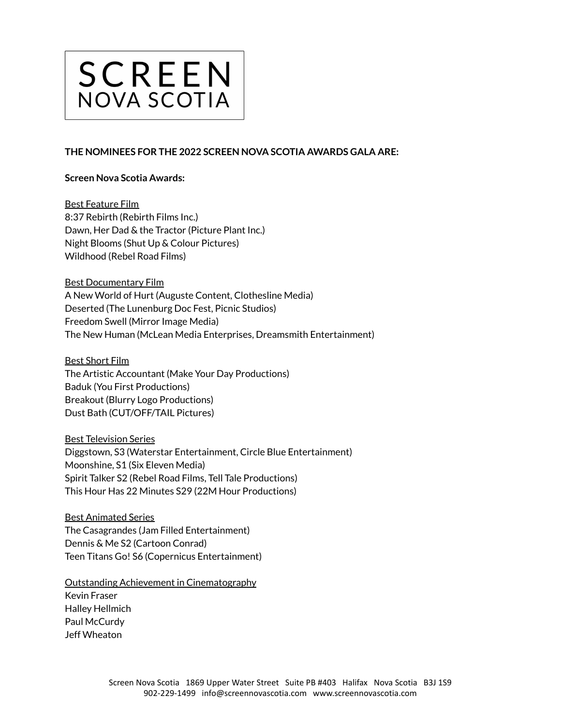

## **THE NOMINEES FOR THE 2022 SCREEN NOVA SCOTIA AWARDS GALA ARE:**

## **Screen Nova Scotia Awards:**

Best Feature Film 8:37 Rebirth (Rebirth Films Inc.) Dawn, Her Dad & the Tractor (Picture Plant Inc.) Night Blooms (Shut Up & Colour Pictures) Wildhood (Rebel Road Films)

Best Documentary Film A New World of Hurt (Auguste Content, Clothesline Media) Deserted (The Lunenburg Doc Fest, Picnic Studios) Freedom Swell (Mirror Image Media) The New Human (McLean Media Enterprises, Dreamsmith Entertainment)

Best Short Film The Artistic Accountant (Make Your Day Productions) Baduk (You First Productions) Breakout (Blurry Logo Productions) Dust Bath (CUT/OFF/TAIL Pictures)

Best Television Series Diggstown, S3 (Waterstar Entertainment, Circle Blue Entertainment) Moonshine, S1 (Six Eleven Media) Spirit Talker S2 (Rebel Road Films, Tell Tale Productions) This Hour Has 22 Minutes S29 (22M Hour Productions)

Best Animated Series The Casagrandes (Jam Filled Entertainment) Dennis & Me S2 (Cartoon Conrad) Teen Titans Go! S6 (Copernicus Entertainment)

Outstanding Achievement in Cinematography

Kevin Fraser Halley Hellmich Paul McCurdy Jeff Wheaton